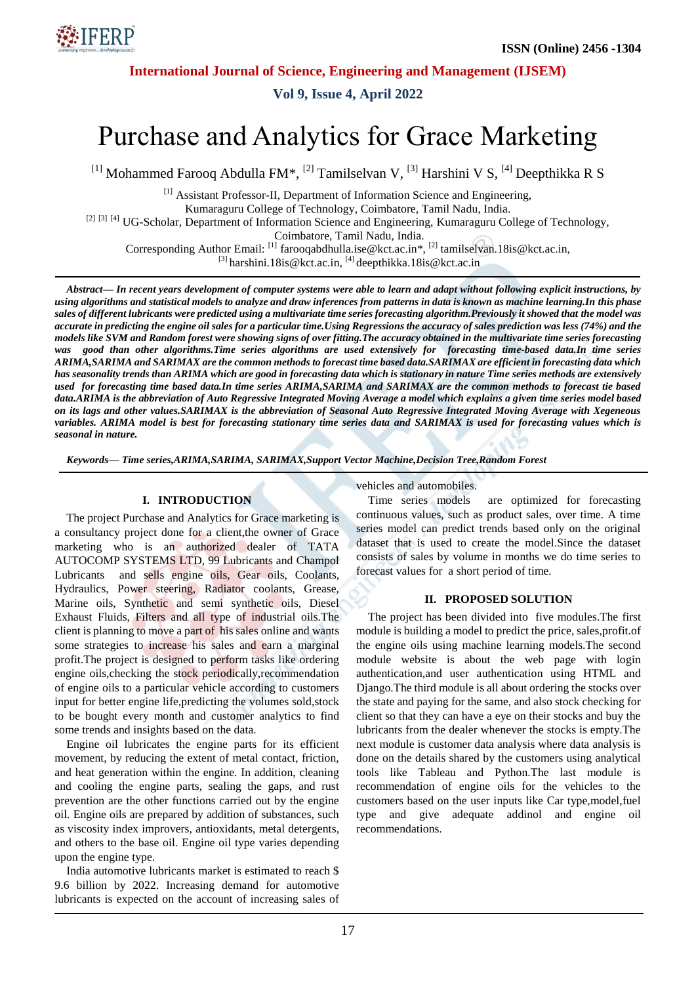

**Vol 9, Issue 4, April 2022**

# Purchase and Analytics for Grace Marketing

<sup>[1]</sup> Mohammed Farooq Abdulla FM\*, <sup>[2]</sup> Tamilselvan V, <sup>[3]</sup> Harshini V S, <sup>[4]</sup> Deepthikka R S

[1] Assistant Professor-II, Department of Information Science and Engineering, Kumaraguru College of Technology, Coimbatore, Tamil Nadu, India.

[2] [3] [4] UG-Scholar, Department of Information Science and Engineering, Kumaraguru College of Technology,

Coimbatore, Tamil Nadu, India.

Corresponding Author Email: <sup>[1]</sup> farooqabdhulla.ise@kct.ac.in\*, <sup>[2]</sup> tamilselvan.18is@kct.ac.in,

 $^{[3]}$  harshini.18is@kct.ac.in,  $^{[4]}$  deepthikka.18is@kct.ac.in

*Abstract— In recent years development of computer systems were able to learn and adapt without following explicit instructions, by using algorithms and statistical models to analyze and draw inferences from patterns in data is known as machine learning.In this phase sales of different lubricants were predicted using a multivariate time series forecasting algorithm.Previously it showed that the model was accurate in predicting the engine oil sales for a particular time.Using Regressions the accuracy of sales prediction was less (74%) and the models like SVM and Random forest were showing signs of over fitting.The accuracy obtained in the multivariate time series forecasting was good than other algorithms.Time series algorithms are used extensively for forecasting time-based data.In time series ARIMA,SARIMA and SARIMAX are the common methods to forecast time based data.SARIMAX are efficient in forecasting data which has seasonality trends than ARIMA which are good in forecasting data which is stationary in nature Time series methods are extensively used for forecasting time based data.In time series ARIMA,SARIMA and SARIMAX are the common methods to forecast tie based data.ARIMA is the abbreviation of Auto Regressive Integrated Moving Average a model which explains a given time series model based on its lags and other values.SARIMAX is the abbreviation of Seasonal Auto Regressive Integrated Moving Average with Xegeneous* variables. ARIMA model is best for forecasting stationary time series data and SARIMAX is used for forecasting values which is *seasonal in nature.*

*Keywords— Time series,ARIMA,SARIMA, SARIMAX,Support Vector Machine,Decision Tree,Random Forest*

#### **I. INTRODUCTION**

The project Purchase and Analytics for Grace marketing is a consultancy project done for a client,the owner of Grace marketing who is an authorized dealer of TATA AUTOCOMP SYSTEMS LTD, 99 Lubricants and Champol Lubricants and sells engine oils, Gear oils, Coolants, Hydraulics, Power steering, Radiator coolants, Grease, Marine oils, Synthetic and semi synthetic oils, Diesel Exhaust Fluids, Filters and all type of industrial oils.The client is planning to move a part of his sales online and wants some strategies to increase his sales and earn a marginal profit.The project is designed to perform tasks like ordering engine oils,checking the stock periodically,recommendation of engine oils to a particular vehicle according to customers input for better engine life,predicting the volumes sold,stock to be bought every month and customer analytics to find some trends and insights based on the data.

Engine oil lubricates the engine parts for its efficient movement, by reducing the extent of metal contact, friction, and heat generation within the engine. In addition, cleaning and cooling the engine parts, sealing the gaps, and rust prevention are the other functions carried out by the engine oil. Engine oils are prepared by addition of substances, such as viscosity index improvers, antioxidants, metal detergents, and others to the base oil. Engine oil type varies depending upon the engine type.

India automotive lubricants market is estimated to reach \$ 9.6 billion by 2022. Increasing demand for automotive lubricants is expected on the account of increasing sales of vehicles and automobiles.

Time series models are optimized for forecasting continuous values, such as product sales, over time. A time series model can predict trends based only on the original dataset that is used to create the model.Since the dataset consists of sales by volume in months we do time series to forecast values for a short period of time.

#### **II. PROPOSED SOLUTION**

The project has been divided into five modules.The first module is building a model to predict the price, sales,profit.of the engine oils using machine learning models.The second module website is about the web page with login authentication,and user authentication using HTML and Django.The third module is all about ordering the stocks over the state and paying for the same, and also stock checking for client so that they can have a eye on their stocks and buy the lubricants from the dealer whenever the stocks is empty.The next module is customer data analysis where data analysis is done on the details shared by the customers using analytical tools like Tableau and Python.The last module is recommendation of engine oils for the vehicles to the customers based on the user inputs like Car type,model,fuel type and give adequate addinol and engine oil recommendations.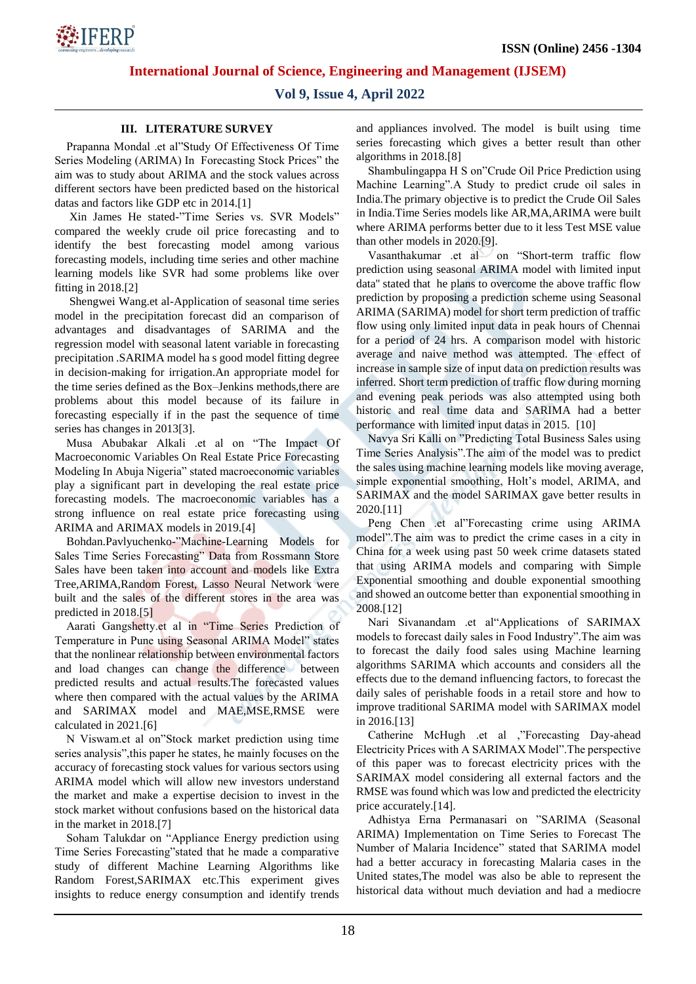

# **Vol 9, Issue 4, April 2022**

## **III. LITERATURE SURVEY**

Prapanna Mondal .et al"Study Of Effectiveness Of Time Series Modeling (ARIMA) In Forecasting Stock Prices" the aim was to study about ARIMA and the stock values across different sectors have been predicted based on the historical datas and factors like GDP etc in 2014.[1]

Xin James He stated-"Time Series vs. SVR Models" compared the weekly crude oil price forecasting and to identify the best forecasting model among various forecasting models, including time series and other machine learning models like SVR had some problems like over fitting in 2018.[2]

Shengwei Wang.et al-Application of seasonal time series model in the precipitation forecast did an comparison of advantages and disadvantages of SARIMA and the regression model with seasonal latent variable in forecasting precipitation .SARIMA model ha s good model fitting degree in decision-making for irrigation.An appropriate model for the time series defined as the Box–Jenkins methods,there are problems about this model because of its failure in forecasting especially if in the past the sequence of time series has changes in 2013[3].

Musa Abubakar Alkali .et al on "The Impact Of Macroeconomic Variables On Real Estate Price Forecasting Modeling In Abuja Nigeria" stated macroeconomic variables play a significant part in developing the real estate price forecasting models. The macroeconomic variables has a strong influence on real estate price forecasting using ARIMA and ARIMAX models in 2019.[4]

Bohdan.Pavlyuchenko-"Machine-Learning Models for Sales Time Series Forecasting" Data from Rossmann Store Sales have been taken into account and models like Extra Tree,ARIMA,Random Forest, Lasso Neural Network were built and the sales of the different stores in the area was predicted in 2018.[5]

Aarati Gangshetty.et al in "Time Series Prediction of Temperature in Pune using Seasonal ARIMA Model" states that the nonlinear relationship between environmental factors and load changes can change the difference between predicted results and actual results.The forecasted values where then compared with the actual values by the ARIMA and SARIMAX model and MAE,MSE,RMSE were calculated in 2021.[6]

N Viswam.et al on"Stock market prediction using time series analysis",this paper he states, he mainly focuses on the accuracy of forecasting stock values for various sectors using ARIMA model which will allow new investors understand the market and make a expertise decision to invest in the stock market without confusions based on the historical data in the market in 2018.[7]

Soham Talukdar on "Appliance Energy prediction using Time Series Forecasting"stated that he made a comparative study of different Machine Learning Algorithms like Random Forest,SARIMAX etc.This experiment gives insights to reduce energy consumption and identify trends

and appliances involved. The model is built using time series forecasting which gives a better result than other algorithms in 2018.[8]

Shambulingappa H S on"Crude Oil Price Prediction using Machine Learning".A Study to predict crude oil sales in India.The primary objective is to predict the Crude Oil Sales in India.Time Series models like AR,MA,ARIMA were built where ARIMA performs better due to it less Test MSE value than other models in 2020.[9].

Vasanthakumar .et al on "Short-term traffic flow prediction using seasonal ARIMA model with limited input data'' stated that he plans to overcome the above traffic flow prediction by proposing a prediction scheme using Seasonal ARIMA (SARIMA) model for short term prediction of traffic flow using only limited input data in peak hours of Chennai for a period of 24 hrs. A comparison model with historic average and naive method was attempted. The effect of increase in sample size of input data on prediction results was inferred. Short term prediction of traffic flow during morning and evening peak periods was also attempted using both historic and real time data and SARIMA had a better performance with limited input datas in 2015. [10]

Navya Sri Kalli on "Predicting Total Business Sales using Time Series Analysis".The aim of the model was to predict the sales using machine learning models like moving average, simple exponential smoothing, Holt's model, ARIMA, and SARIMAX and the model SARIMAX gave better results in 2020.[11]

Peng Chen .et al"Forecasting crime using ARIMA model".The aim was to predict the crime cases in a city in China for a week using past 50 week crime datasets stated that using ARIMA models and comparing with Simple Exponential smoothing and double exponential smoothing and showed an outcome better than exponential smoothing in 2008.[12]

Nari Sivanandam .et al"Applications of SARIMAX models to forecast daily sales in Food Industry".The aim was to forecast the daily food sales using Machine learning algorithms SARIMA which accounts and considers all the effects due to the demand influencing factors, to forecast the daily sales of perishable foods in a retail store and how to improve traditional SARIMA model with SARIMAX model in 2016.[13]

Catherine McHugh .et al ,"Forecasting Day-ahead Electricity Prices with A SARIMAX Model".The perspective of this paper was to forecast electricity prices with the SARIMAX model considering all external factors and the RMSE was found which was low and predicted the electricity price accurately.[14].

Adhistya Erna Permanasari on "SARIMA (Seasonal ARIMA) Implementation on Time Series to Forecast The Number of Malaria Incidence" stated that SARIMA model had a better accuracy in forecasting Malaria cases in the United states,The model was also be able to represent the historical data without much deviation and had a mediocre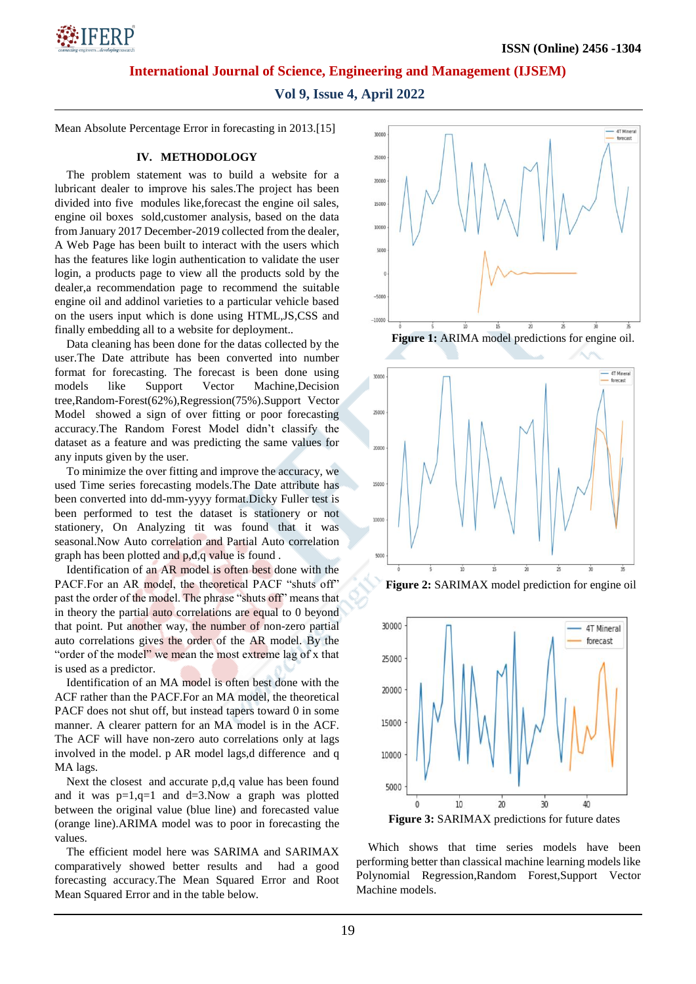

**Vol 9, Issue 4, April 2022**

Mean Absolute Percentage Error in forecasting in 2013.[15]

#### **IV. METHODOLOGY**

The problem statement was to build a website for a lubricant dealer to improve his sales.The project has been divided into five modules like,forecast the engine oil sales, engine oil boxes sold,customer analysis, based on the data from January 2017 December-2019 collected from the dealer, A Web Page has been built to interact with the users which has the features like login authentication to validate the user login, a products page to view all the products sold by the dealer,a recommendation page to recommend the suitable engine oil and addinol varieties to a particular vehicle based on the users input which is done using HTML,JS,CSS and finally embedding all to a website for deployment..

Data cleaning has been done for the datas collected by the user.The Date attribute has been converted into number format for forecasting. The forecast is been done using models like Support Vector Machine,Decision tree,Random-Forest(62%),Regression(75%).Support Vector Model showed a sign of over fitting or poor forecasting accuracy.The Random Forest Model didn't classify the dataset as a feature and was predicting the same values for any inputs given by the user.

To minimize the over fitting and improve the accuracy, we used Time series forecasting models.The Date attribute has been converted into dd-mm-yyyy format.Dicky Fuller test is been performed to test the dataset is stationery or not stationery, On Analyzing tit was found that it was seasonal.Now Auto correlation and Partial Auto correlation graph has been plotted and p,d,q value is found .

Identification of an AR model is often best done with the PACF.For an AR model, the theoretical PACF "shuts off" past the order of the model. The phrase "shuts off" means that in theory the partial auto correlations are equal to 0 beyond that point. Put another way, the number of non-zero partial auto correlations gives the order of the AR model. By the "order of the model" we mean the most extreme lag of x that is used as a predictor.

Identification of an MA model is often best done with the ACF rather than the PACF.For an MA model, the theoretical PACF does not shut off, but instead tapers toward 0 in some manner. A clearer pattern for an MA model is in the ACF. The ACF will have non-zero auto correlations only at lags involved in the model. p AR model lags,d difference and q MA lags.

Next the closest and accurate p,d,q value has been found and it was  $p=1, q=1$  and  $d=3$ . Now a graph was plotted between the original value (blue line) and forecasted value (orange line).ARIMA model was to poor in forecasting the values.

The efficient model here was SARIMA and SARIMAX comparatively showed better results and had a good forecasting accuracy.The Mean Squared Error and Root Mean Squared Error and in the table below.



**Figure 1:** ARIMA model predictions for engine oil.







Which shows that time series models have been performing better than classical machine learning models like Polynomial Regression,Random Forest,Support Vector Machine models.